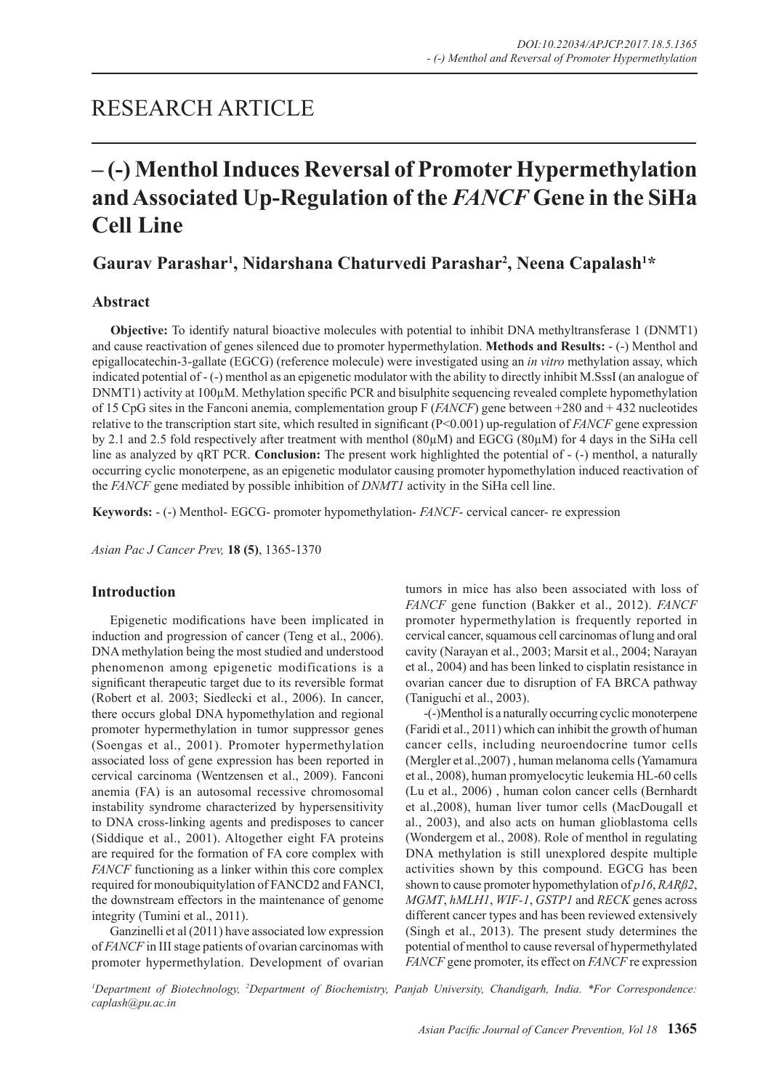## RESEARCH ARTICLE

# **– (-) Menthol Induces Reversal of Promoter Hypermethylation and Associated Up-Regulation of the** *FANCF* **Gene in the SiHa Cell Line**

## **Gaurav Parashar1 , Nidarshana Chaturvedi Parashar2 , Neena Capalash1 \***

## **Abstract**

**Objective:** To identify natural bioactive molecules with potential to inhibit DNA methyltransferase 1 (DNMT1) and cause reactivation of genes silenced due to promoter hypermethylation. **Methods and Results:** - (-) Menthol and epigallocatechin-3-gallate (EGCG) (reference molecule) were investigated using an *in vitro* methylation assay, which indicated potential of - (-) menthol as an epigenetic modulator with the ability to directly inhibit M.SssI (an analogue of DNMT1) activity at 100µM. Methylation specific PCR and bisulphite sequencing revealed complete hypomethylation of 15 CpG sites in the Fanconi anemia, complementation group F (*FANCF*) gene between +280 and + 432 nucleotides relative to the transcription start site, which resulted in significant (P<0.001) up-regulation of *FANCF* gene expression by 2.1 and 2.5 fold respectively after treatment with menthol (80µM) and EGCG (80µM) for 4 days in the SiHa cell line as analyzed by qRT PCR. **Conclusion:** The present work highlighted the potential of - (-) menthol, a naturally occurring cyclic monoterpene, as an epigenetic modulator causing promoter hypomethylation induced reactivation of the *FANCF* gene mediated by possible inhibition of *DNMT1* activity in the SiHa cell line.

**Keywords:** - (-) Menthol- EGCG- promoter hypomethylation- *FANCF*- cervical cancer- re expression

*Asian Pac J Cancer Prev,* **18 (5)**, 1365-1370

## **Introduction**

Epigenetic modifications have been implicated in induction and progression of cancer (Teng et al., 2006). DNA methylation being the most studied and understood phenomenon among epigenetic modifications is a significant therapeutic target due to its reversible format (Robert et al. 2003; Siedlecki et al., 2006). In cancer, there occurs global DNA hypomethylation and regional promoter hypermethylation in tumor suppressor genes (Soengas et al., 2001). Promoter hypermethylation associated loss of gene expression has been reported in cervical carcinoma (Wentzensen et al., 2009). Fanconi anemia (FA) is an autosomal recessive chromosomal instability syndrome characterized by hypersensitivity to DNA cross-linking agents and predisposes to cancer (Siddique et al., 2001). Altogether eight FA proteins are required for the formation of FA core complex with *FANCF* functioning as a linker within this core complex required for monoubiquitylation of FANCD2 and FANCI, the downstream effectors in the maintenance of genome integrity (Tumini et al., 2011).

Ganzinelli et al (2011) have associated low expression of *FANCF* in III stage patients of ovarian carcinomas with promoter hypermethylation. Development of ovarian tumors in mice has also been associated with loss of *FANCF* gene function (Bakker et al., 2012). *FANCF* promoter hypermethylation is frequently reported in cervical cancer, squamous cell carcinomas of lung and oral cavity (Narayan et al., 2003; Marsit et al., 2004; Narayan et al., 2004) and has been linked to cisplatin resistance in ovarian cancer due to disruption of FA BRCA pathway (Taniguchi et al., 2003).

-(-)Menthol is a naturally occurring cyclic monoterpene (Faridi et al., 2011) which can inhibit the growth of human cancer cells, including neuroendocrine tumor cells (Mergler et al.,2007) , human melanoma cells (Yamamura et al., 2008), human promyelocytic leukemia HL-60 cells (Lu et al., 2006) , human colon cancer cells (Bernhardt et al.,2008), human liver tumor cells (MacDougall et al., 2003), and also acts on human glioblastoma cells (Wondergem et al., 2008). Role of menthol in regulating DNA methylation is still unexplored despite multiple activities shown by this compound. EGCG has been shown to cause promoter hypomethylation of *p16*, *RARß2*, *MGMT*, *hMLH1*, *WIF-1*, *GSTP1* and *RECK* genes across different cancer types and has been reviewed extensively (Singh et al., 2013). The present study determines the potential of menthol to cause reversal of hypermethylated *FANCF* gene promoter, its effect on *FANCF* re expression

*1 Department of Biotechnology, 2 Department of Biochemistry, Panjab University, Chandigarh, India. \*For Correspondence: caplash@pu.ac.in*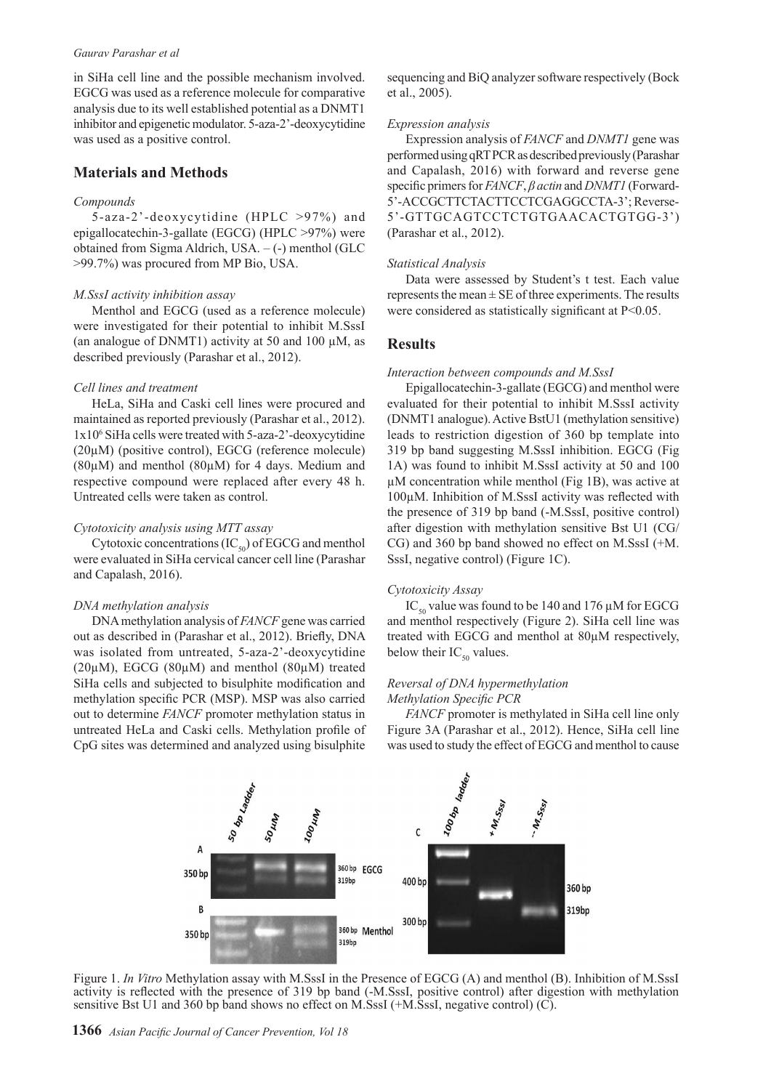#### *Gaurav Parashar et al*

in SiHa cell line and the possible mechanism involved. EGCG was used as a reference molecule for comparative analysis due to its well established potential as a DNMT1 inhibitor and epigenetic modulator. 5-aza-2'-deoxycytidine was used as a positive control.

## **Materials and Methods**

#### *Compounds*

5-aza-2'-deoxycytidine (HPLC >97%) and epigallocatechin-3-gallate (EGCG) (HPLC >97%) were obtained from Sigma Aldrich, USA. – (-) menthol (GLC >99.7%) was procured from MP Bio, USA.

#### *M.SssI activity inhibition assay*

Menthol and EGCG (used as a reference molecule) were investigated for their potential to inhibit M.SssI (an analogue of DNMT1) activity at 50 and 100  $\mu$ M, as described previously (Parashar et al., 2012).

#### *Cell lines and treatment*

HeLa, SiHa and Caski cell lines were procured and maintained as reported previously (Parashar et al., 2012). 1x10<sup>6</sup> SiHa cells were treated with 5-aza-2'-deoxycytidine (20µM) (positive control), EGCG (reference molecule) (80µM) and menthol (80µM) for 4 days. Medium and respective compound were replaced after every 48 h. Untreated cells were taken as control.

#### *Cytotoxicity analysis using MTT assay*

Cytotoxic concentrations  $(IC_{50})$  of EGCG and menthol were evaluated in SiHa cervical cancer cell line (Parashar and Capalash, 2016).

#### *DNA methylation analysis*

DNA methylation analysis of *FANCF* gene was carried out as described in (Parashar et al., 2012). Briefly, DNA was isolated from untreated, 5-aza-2'-deoxycytidine  $(20\mu)$ , EGCG  $(80\mu)$  and menthol  $(80\mu)$  treated SiHa cells and subjected to bisulphite modification and methylation specific PCR (MSP). MSP was also carried out to determine *FANCF* promoter methylation status in untreated HeLa and Caski cells. Methylation profile of CpG sites was determined and analyzed using bisulphite

sequencing and BiQ analyzer software respectively (Bock et al., 2005).

#### *Expression analysis*

Expression analysis of *FANCF* and *DNMT1* gene was performed using qRT PCR as described previously (Parashar and Capalash, 2016) with forward and reverse gene specific primers for *FANCF*, *β actin* and *DNMT1* (Forward-5'-ACCGCTTCTACTTCCTCGAGGCCTA-3'; Reverse-5'-GTTGCAGTCCTCTGTGAACACTGTGG-3') (Parashar et al., 2012).

#### *Statistical Analysis*

Data were assessed by Student's t test. Each value represents the mean  $\pm$  SE of three experiments. The results were considered as statistically significant at  $P<0.05$ .

#### **Results**

#### *Interaction between compounds and M.SssI*

Epigallocatechin-3-gallate (EGCG) and menthol were evaluated for their potential to inhibit M.SssI activity (DNMT1 analogue). Active BstU1 (methylation sensitive) leads to restriction digestion of 360 bp template into 319 bp band suggesting M.SssI inhibition. EGCG (Fig 1A) was found to inhibit M.SssI activity at 50 and 100 µM concentration while menthol (Fig 1B), was active at 100µM. Inhibition of M.SssI activity was reflected with the presence of 319 bp band (-M.SssI, positive control) after digestion with methylation sensitive Bst U1 (CG/ CG) and 360 bp band showed no effect on M.SssI (+M. SssI, negative control) (Figure 1C).

#### *Cytotoxicity Assay*

IC<sub>50</sub> value was found to be 140 and 176  $\mu$ M for EGCG and menthol respectively (Figure 2). SiHa cell line was treated with EGCG and menthol at 80µM respectively, below their  $IC_{50}$  values.

### *Reversal of DNA hypermethylation Methylation Specific PCR*

*FANCF* promoter is methylated in SiHa cell line only Figure 3A (Parashar et al., 2012). Hence, SiHa cell line was used to study the effect of EGCG and menthol to cause



Figure 1. *In Vitro* Methylation assay with M.SssI in the Presence of EGCG (A) and menthol (B). Inhibition of M.SssI activity is reflected with the presence of 319 bp band (-M.SssI, positive control) after digestion with methylation sensitive Bst U1 and 360 bp band shows no effect on M.SssI (+M.SssI, negative control) (C).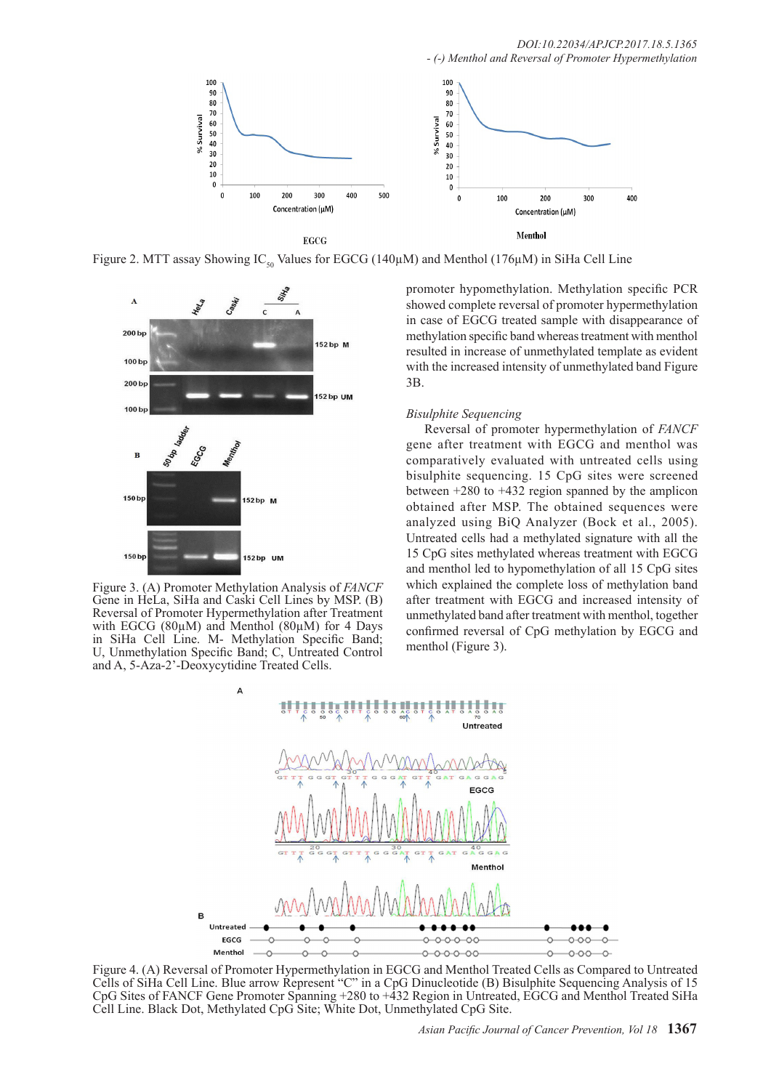

Figure 2. MTT assay Showing IC<sub>50</sub> Values for EGCG (140 $\mu$ M) and Menthol (176 $\mu$ M) in SiHa Cell Line



Figure 3. (A) Promoter Methylation Analysis of *FANCF* Gene in HeLa, SiHa and Caski Cell Lines by MSP. (B) Reversal of Promoter Hypermethylation after Treatment with EGCG (80µM) and Menthol (80µM) for 4 Days in SiHa Cell Line. M- Methylation Specific Band; U, Unmethylation Specific Band; C, Untreated Control and A, 5-Aza-2'-Deoxycytidine Treated Cells.

promoter hypomethylation. Methylation specific PCR showed complete reversal of promoter hypermethylation in case of EGCG treated sample with disappearance of methylation specific band whereas treatment with menthol resulted in increase of unmethylated template as evident with the increased intensity of unmethylated band Figure 3B.

#### *Bisulphite Sequencing*

Reversal of promoter hypermethylation of *FANCF* gene after treatment with EGCG and menthol was comparatively evaluated with untreated cells using bisulphite sequencing. 15 CpG sites were screened between +280 to +432 region spanned by the amplicon obtained after MSP. The obtained sequences were analyzed using BiQ Analyzer (Bock et al., 2005). Untreated cells had a methylated signature with all the 15 CpG sites methylated whereas treatment with EGCG and menthol led to hypomethylation of all 15 CpG sites which explained the complete loss of methylation band after treatment with EGCG and increased intensity of unmethylated band after treatment with menthol, together confirmed reversal of CpG methylation by EGCG and menthol (Figure 3).



Figure 4. (A) Reversal of Promoter Hypermethylation in EGCG and Menthol Treated Cells as Compared to Untreated Cells of SiHa Cell Line. Blue arrow Represent "C" in a CpG Dinucleotide (B) Bisulphite Sequencing Analysis of 15 CpG Sites of FANCF Gene Promoter Spanning +280 to +432 Region in Untreated, EGCG and Menthol Treated SiHa Cell Line. Black Dot, Methylated CpG Site; White Dot, Unmethylated CpG Site.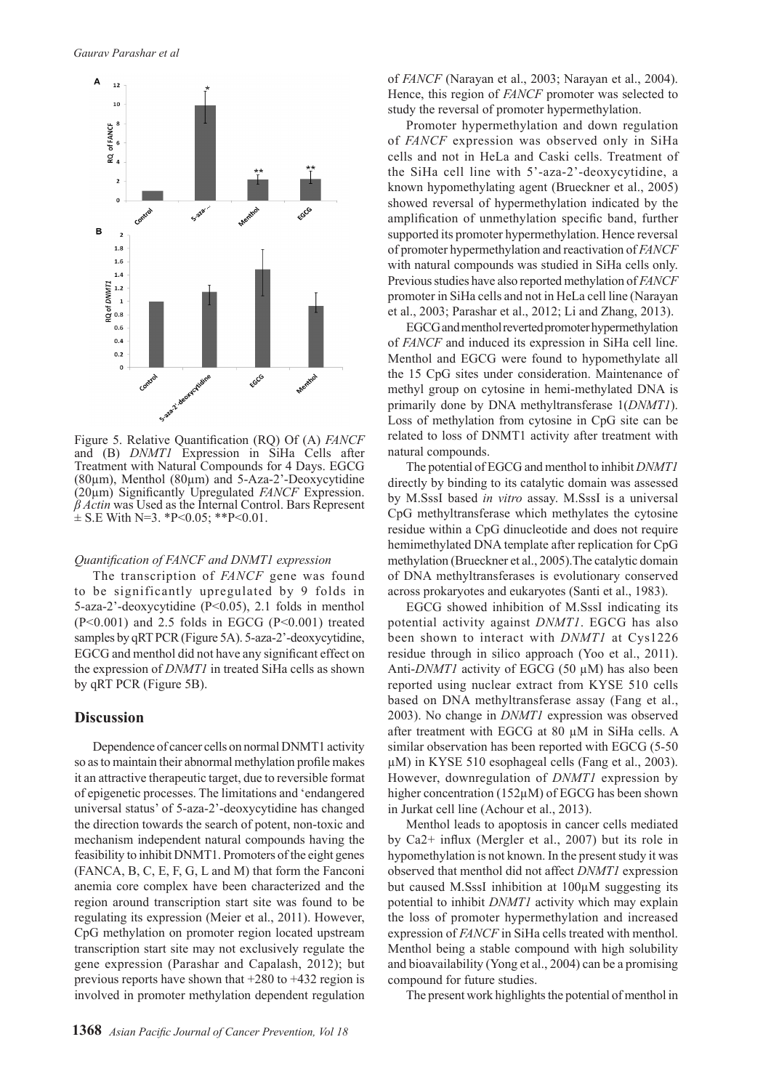

Figure 5. Relative Quantification (RQ) Of (A) *FANCF* and (B) *DNMT1* Expression in SiHa Cells after Treatment with Natural Compounds for 4 Days. EGCG ( $80\mu$ m), Menthol ( $80\mu$ m) and  $5-Aza-2$ '-Deoxycytidine (20µm) Significantly Upregulated *FANCF* Expression. *β Actin* was Used as the Internal Control. Bars Represent  $\pm$  S.E With N=3. \*P<0.05; \*\*P<0.01.

#### *Quantification of FANCF and DNMT1 expression*

The transcription of *FANCF* gene was found to be significantly upregulated by 9 folds in 5-aza-2'-deoxycytidine (P<0.05), 2.1 folds in menthol (P<0.001) and 2.5 folds in EGCG (P<0.001) treated samples by qRT PCR (Figure 5A). 5-aza-2'-deoxycytidine, EGCG and menthol did not have any significant effect on the expression of *DNMT1* in treated SiHa cells as shown by qRT PCR (Figure 5B).

### **Discussion**

Dependence of cancer cells on normal DNMT1 activity so as to maintain their abnormal methylation profile makes it an attractive therapeutic target, due to reversible format of epigenetic processes. The limitations and 'endangered universal status' of 5-aza-2'-deoxycytidine has changed the direction towards the search of potent, non-toxic and mechanism independent natural compounds having the feasibility to inhibit DNMT1. Promoters of the eight genes (FANCA, B, C, E, F, G, L and M) that form the Fanconi anemia core complex have been characterized and the region around transcription start site was found to be regulating its expression (Meier et al., 2011). However, CpG methylation on promoter region located upstream transcription start site may not exclusively regulate the gene expression (Parashar and Capalash, 2012); but previous reports have shown that +280 to +432 region is involved in promoter methylation dependent regulation of *FANCF* (Narayan et al., 2003; Narayan et al., 2004). Hence, this region of *FANCF* promoter was selected to study the reversal of promoter hypermethylation.

Promoter hypermethylation and down regulation of *FANCF* expression was observed only in SiHa cells and not in HeLa and Caski cells. Treatment of the SiHa cell line with 5'-aza-2'-deoxycytidine, a known hypomethylating agent (Brueckner et al., 2005) showed reversal of hypermethylation indicated by the amplification of unmethylation specific band, further supported its promoter hypermethylation. Hence reversal of promoter hypermethylation and reactivation of *FANCF* with natural compounds was studied in SiHa cells only. Previous studies have also reported methylation of *FANCF* promoter in SiHa cells and not in HeLa cell line (Narayan et al., 2003; Parashar et al., 2012; Li and Zhang, 2013).

EGCG and menthol reverted promoter hypermethylation of *FANCF* and induced its expression in SiHa cell line. Menthol and EGCG were found to hypomethylate all the 15 CpG sites under consideration. Maintenance of methyl group on cytosine in hemi-methylated DNA is primarily done by DNA methyltransferase 1(*DNMT1*). Loss of methylation from cytosine in CpG site can be related to loss of DNMT1 activity after treatment with natural compounds.

The potential of EGCG and menthol to inhibit *DNMT1*  directly by binding to its catalytic domain was assessed by M.SssI based *in vitro* assay. M.SssI is a universal CpG methyltransferase which methylates the cytosine residue within a CpG dinucleotide and does not require hemimethylated DNA template after replication for CpG methylation (Brueckner et al., 2005).The catalytic domain of DNA methyltransferases is evolutionary conserved across prokaryotes and eukaryotes (Santi et al., 1983).

EGCG showed inhibition of M.SssI indicating its potential activity against *DNMT1*. EGCG has also been shown to interact with *DNMT1* at Cys1226 residue through in silico approach (Yoo et al., 2011). Anti-*DNMT1* activity of EGCG (50 µM) has also been reported using nuclear extract from KYSE 510 cells based on DNA methyltransferase assay (Fang et al., 2003). No change in *DNMT1* expression was observed after treatment with EGCG at 80 µM in SiHa cells. A similar observation has been reported with EGCG (5-50 µM) in KYSE 510 esophageal cells (Fang et al., 2003). However, downregulation of *DNMT1* expression by higher concentration (152 $\mu$ M) of EGCG has been shown in Jurkat cell line (Achour et al., 2013).

Menthol leads to apoptosis in cancer cells mediated by Ca2+ influx (Mergler et al., 2007) but its role in hypomethylation is not known. In the present study it was observed that menthol did not affect *DNMT1* expression but caused M.SssI inhibition at 100µM suggesting its potential to inhibit *DNMT1* activity which may explain the loss of promoter hypermethylation and increased expression of *FANCF* in SiHa cells treated with menthol. Menthol being a stable compound with high solubility and bioavailability (Yong et al., 2004) can be a promising compound for future studies.

The present work highlights the potential of menthol in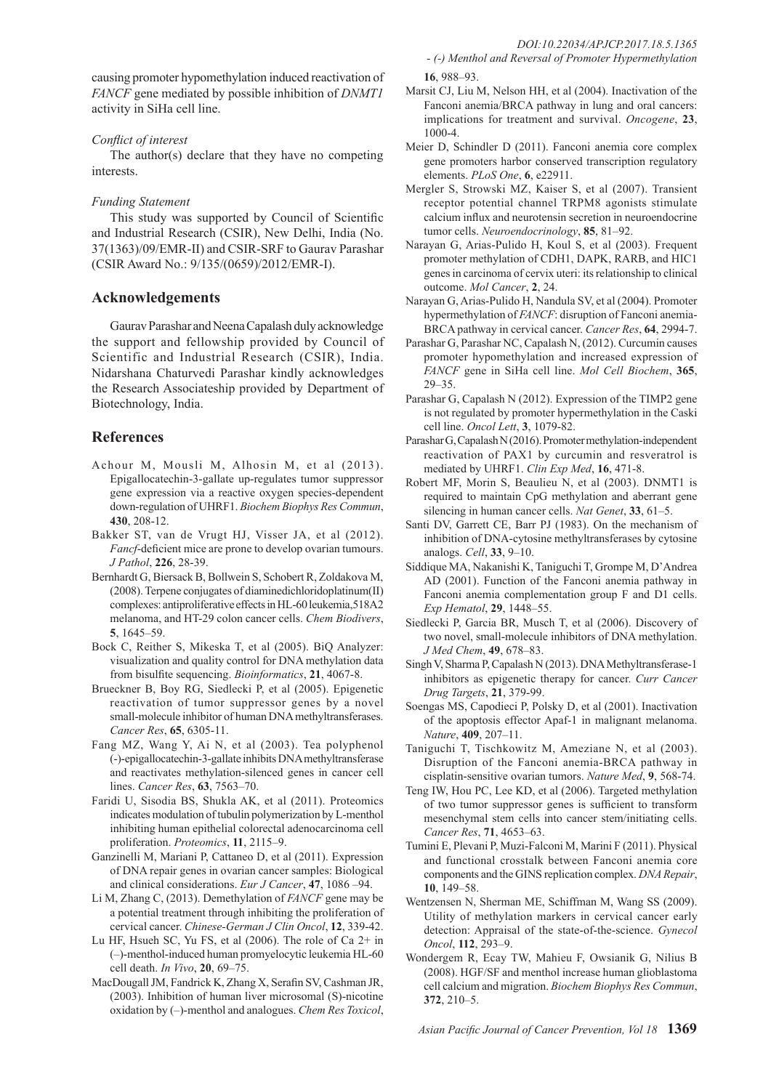causing promoter hypomethylation induced reactivation of *FANCF* gene mediated by possible inhibition of *DNMT1*  activity in SiHa cell line.

#### *Conflict of interest*

The author(s) declare that they have no competing interests.

#### *Funding Statement*

This study was supported by Council of Scientific and Industrial Research (CSIR), New Delhi, India (No. 37(1363)/09/EMR-II) and CSIR-SRF to Gaurav Parashar (CSIR Award No.: 9/135/(0659)/2012/EMR-I).

## **Acknowledgements**

Gaurav Parashar and Neena Capalash duly acknowledge the support and fellowship provided by Council of Scientific and Industrial Research (CSIR), India. Nidarshana Chaturvedi Parashar kindly acknowledges the Research Associateship provided by Department of Biotechnology, India.

## **References**

- Achour M, Mousli M, Alhosin M, et al (2013). Epigallocatechin-3-gallate up-regulates tumor suppressor gene expression via a reactive oxygen species-dependent down-regulation of UHRF1. *Biochem Biophys Res Commun*, **430**, 208-12.
- Bakker ST, van de Vrugt HJ, Visser JA, et al (2012). *Fancf*-deficient mice are prone to develop ovarian tumours. *J Pathol*, **226**, 28-39.
- Bernhardt G, Biersack B, Bollwein S, Schobert R, Zoldakova M, (2008). Terpene conjugates of diaminedichloridoplatinum(II) complexes: antiproliferative effects in HL-60 leukemia,518A2 melanoma, and HT-29 colon cancer cells. *Chem Biodivers*, **5**, 1645–59.
- Bock C, Reither S, Mikeska T, et al (2005). BiQ Analyzer: visualization and quality control for DNA methylation data from bisulfite sequencing. *Bioinformatics*, **21**, 4067-8.
- Brueckner B, Boy RG, Siedlecki P, et al (2005). Epigenetic reactivation of tumor suppressor genes by a novel small-molecule inhibitor of human DNA methyltransferases. *Cancer Res*, **65**, 6305-11.
- Fang MZ, Wang Y, Ai N, et al (2003). Tea polyphenol (-)-epigallocatechin-3-gallate inhibits DNA methyltransferase and reactivates methylation-silenced genes in cancer cell lines. *Cancer Res*, **63**, 7563–70.
- Faridi U, Sisodia BS, Shukla AK, et al (2011). Proteomics indicates modulation of tubulin polymerization by L-menthol inhibiting human epithelial colorectal adenocarcinoma cell proliferation. *Proteomics*, **11**, 2115–9.
- Ganzinelli M, Mariani P, Cattaneo D, et al (2011). Expression of DNA repair genes in ovarian cancer samples: Biological and clinical considerations. *Eur J Cancer*, **47**, 1086 –94.
- Li M, Zhang C, (2013). Demethylation of *FANCF* gene may be a potential treatment through inhibiting the proliferation of cervical cancer. *Chinese-German J Clin Oncol*, **12**, 339-42.
- Lu HF, Hsueh SC, Yu FS, et al (2006). The role of Ca 2+ in (–)-menthol-induced human promyelocytic leukemia HL-60 cell death. *In Vivo*, **20**, 69–75.
- MacDougall JM, Fandrick K, Zhang X, Serafin SV, Cashman JR, (2003). Inhibition of human liver microsomal (S)-nicotine oxidation by (–)-menthol and analogues. *Chem Res Toxicol*,
- *(-) Menthol and Reversal of Promoter Hypermethylation*  **16**, 988–93.
- Marsit CJ, Liu M, Nelson HH, et al (2004). Inactivation of the Fanconi anemia/BRCA pathway in lung and oral cancers: implications for treatment and survival. *Oncogene*, **23**, 1000-4.
- Meier D, Schindler D (2011). Fanconi anemia core complex gene promoters harbor conserved transcription regulatory elements. *PLoS One*, **6**, e22911.
- Mergler S, Strowski MZ, Kaiser S, et al (2007). Transient receptor potential channel TRPM8 agonists stimulate calcium influx and neurotensin secretion in neuroendocrine tumor cells. *Neuroendocrinology*, **85**, 81–92.
- Narayan G, Arias-Pulido H, Koul S, et al (2003). Frequent promoter methylation of CDH1, DAPK, RARB, and HIC1 genes in carcinoma of cervix uteri: its relationship to clinical outcome. *Mol Cancer*, **2**, 24.
- Narayan G, Arias-Pulido H, Nandula SV, et al (2004). Promoter hypermethylation of *FANCF*: disruption of Fanconi anemia-BRCA pathway in cervical cancer. *Cancer Res*, **64**, 2994-7.
- Parashar G, Parashar NC, Capalash N, (2012). Curcumin causes promoter hypomethylation and increased expression of *FANCF* gene in SiHa cell line. *Mol Cell Biochem*, **365**, 29–35.
- Parashar G, Capalash N (2012). Expression of the TIMP2 gene is not regulated by promoter hypermethylation in the Caski cell line. *Oncol Lett*, **3**, 1079-82.
- Parashar G, Capalash N (2016). Promoter methylation-independent reactivation of PAX1 by curcumin and resveratrol is mediated by UHRF1. *Clin Exp Med*, **16**, 471-8.
- Robert MF, Morin S, Beaulieu N, et al (2003). DNMT1 is required to maintain CpG methylation and aberrant gene silencing in human cancer cells. *Nat Genet*, **33**, 61–5.
- Santi DV, Garrett CE, Barr PJ (1983). On the mechanism of inhibition of DNA-cytosine methyltransferases by cytosine analogs. *Cell*, **33**, 9–10.
- Siddique MA, Nakanishi K, Taniguchi T, Grompe M, D'Andrea AD (2001). Function of the Fanconi anemia pathway in Fanconi anemia complementation group F and D1 cells. *Exp Hematol*, **29**, 1448–55.
- Siedlecki P, Garcia BR, Musch T, et al (2006). Discovery of two novel, small-molecule inhibitors of DNA methylation. *J Med Chem*, **49**, 678–83.
- Singh V, Sharma P, Capalash N (2013). DNA Methyltransferase-1 inhibitors as epigenetic therapy for cancer. *Curr Cancer Drug Targets*, **21**, 379-99.
- Soengas MS, Capodieci P, Polsky D, et al (2001). Inactivation of the apoptosis effector Apaf-1 in malignant melanoma. *Nature*, **409**, 207–11.
- Taniguchi T, Tischkowitz M, Ameziane N, et al (2003). Disruption of the Fanconi anemia-BRCA pathway in cisplatin-sensitive ovarian tumors. *Nature Med*, **9**, 568-74.
- Teng IW, Hou PC, Lee KD, et al (2006). Targeted methylation of two tumor suppressor genes is sufficient to transform mesenchymal stem cells into cancer stem/initiating cells. *Cancer Res*, **71**, 4653–63.
- Tumini E, Plevani P, Muzi-Falconi M, Marini F (2011). Physical and functional crosstalk between Fanconi anemia core components and the GINS replication complex. *DNA Repair*, **10**, 149–58.
- Wentzensen N, Sherman ME, Schiffman M, Wang SS (2009). Utility of methylation markers in cervical cancer early detection: Appraisal of the state-of-the-science. *Gynecol Oncol*, **112**, 293–9.
- Wondergem R, Ecay TW, Mahieu F, Owsianik G, Nilius B (2008). HGF/SF and menthol increase human glioblastoma cell calcium and migration. *Biochem Biophys Res Commun*, **372**, 210–5.